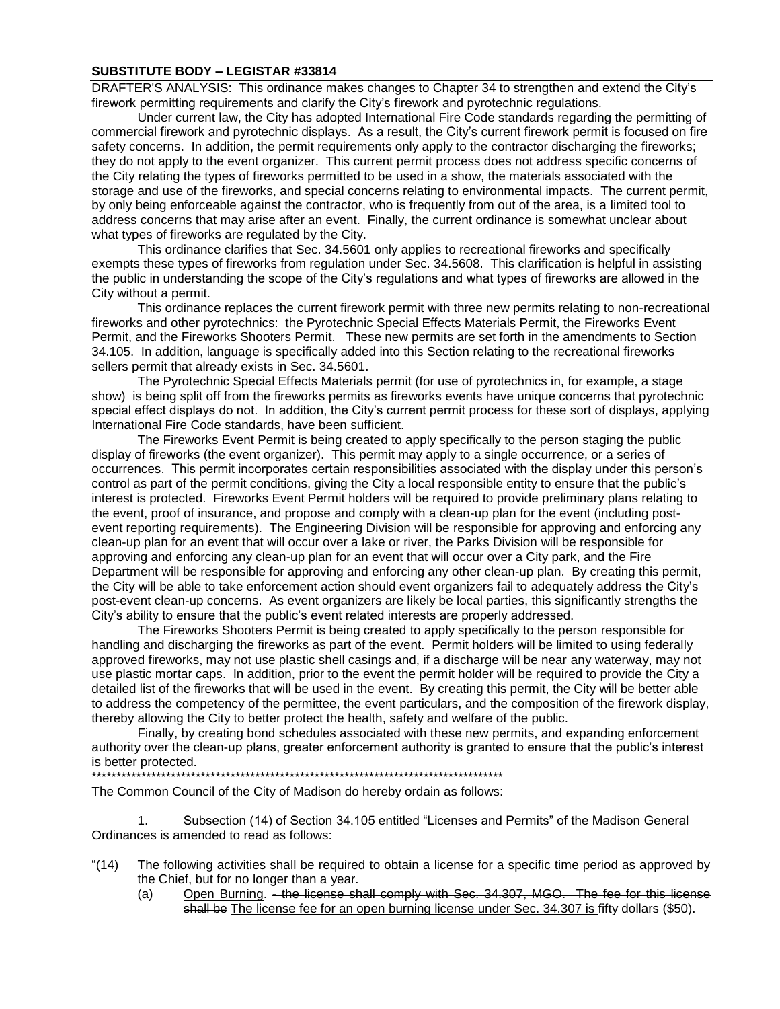#### **SUBSTITUTE BODY – LEGISTAR #33814**

DRAFTER'S ANALYSIS: This ordinance makes changes to Chapter 34 to strengthen and extend the City's firework permitting requirements and clarify the City's firework and pyrotechnic regulations.

Under current law, the City has adopted International Fire Code standards regarding the permitting of commercial firework and pyrotechnic displays. As a result, the City's current firework permit is focused on fire safety concerns. In addition, the permit requirements only apply to the contractor discharging the fireworks; they do not apply to the event organizer. This current permit process does not address specific concerns of the City relating the types of fireworks permitted to be used in a show, the materials associated with the storage and use of the fireworks, and special concerns relating to environmental impacts. The current permit, by only being enforceable against the contractor, who is frequently from out of the area, is a limited tool to address concerns that may arise after an event. Finally, the current ordinance is somewhat unclear about what types of fireworks are regulated by the City.

This ordinance clarifies that Sec. 34.5601 only applies to recreational fireworks and specifically exempts these types of fireworks from regulation under Sec. 34.5608. This clarification is helpful in assisting the public in understanding the scope of the City's regulations and what types of fireworks are allowed in the City without a permit.

This ordinance replaces the current firework permit with three new permits relating to non-recreational fireworks and other pyrotechnics: the Pyrotechnic Special Effects Materials Permit, the Fireworks Event Permit, and the Fireworks Shooters Permit. These new permits are set forth in the amendments to Section 34.105. In addition, language is specifically added into this Section relating to the recreational fireworks sellers permit that already exists in Sec. 34.5601.

The Pyrotechnic Special Effects Materials permit (for use of pyrotechnics in, for example, a stage show) is being split off from the fireworks permits as fireworks events have unique concerns that pyrotechnic special effect displays do not. In addition, the City's current permit process for these sort of displays, applying International Fire Code standards, have been sufficient.

The Fireworks Event Permit is being created to apply specifically to the person staging the public display of fireworks (the event organizer). This permit may apply to a single occurrence, or a series of occurrences. This permit incorporates certain responsibilities associated with the display under this person's control as part of the permit conditions, giving the City a local responsible entity to ensure that the public's interest is protected. Fireworks Event Permit holders will be required to provide preliminary plans relating to the event, proof of insurance, and propose and comply with a clean-up plan for the event (including postevent reporting requirements). The Engineering Division will be responsible for approving and enforcing any clean-up plan for an event that will occur over a lake or river, the Parks Division will be responsible for approving and enforcing any clean-up plan for an event that will occur over a City park, and the Fire Department will be responsible for approving and enforcing any other clean-up plan. By creating this permit, the City will be able to take enforcement action should event organizers fail to adequately address the City's post-event clean-up concerns. As event organizers are likely be local parties, this significantly strengths the City's ability to ensure that the public's event related interests are properly addressed.

The Fireworks Shooters Permit is being created to apply specifically to the person responsible for handling and discharging the fireworks as part of the event. Permit holders will be limited to using federally approved fireworks, may not use plastic shell casings and, if a discharge will be near any waterway, may not use plastic mortar caps. In addition, prior to the event the permit holder will be required to provide the City a detailed list of the fireworks that will be used in the event. By creating this permit, the City will be better able to address the competency of the permittee, the event particulars, and the composition of the firework display, thereby allowing the City to better protect the health, safety and welfare of the public.

Finally, by creating bond schedules associated with these new permits, and expanding enforcement authority over the clean-up plans, greater enforcement authority is granted to ensure that the public's interest is better protected.

\*\*\*\*\*\*\*\*\*\*\*\*\*\*\*\*\*\*\*\*\*\*\*\*\*\*\*\*\*\*\*\*\*\*\*\*\*\*\*\*\*\*\*\*\*\*\*\*\*\*\*\*\*\*\*\*\*\*\*\*\*\*\*\*\*\*\*\*\*\*\*\*\*\*\*\*\*\*\*\*\*\*\*

The Common Council of the City of Madison do hereby ordain as follows:

1. Subsection (14) of Section 34.105 entitled "Licenses and Permits" of the Madison General Ordinances is amended to read as follows:

- "(14) The following activities shall be required to obtain a license for a specific time period as approved by the Chief, but for no longer than a year.
	- (a) Open Burning. the license shall comply with Sec. 34.307, MGO. The fee for this license shall be The license fee for an open burning license under Sec. 34.307 is fifty dollars (\$50).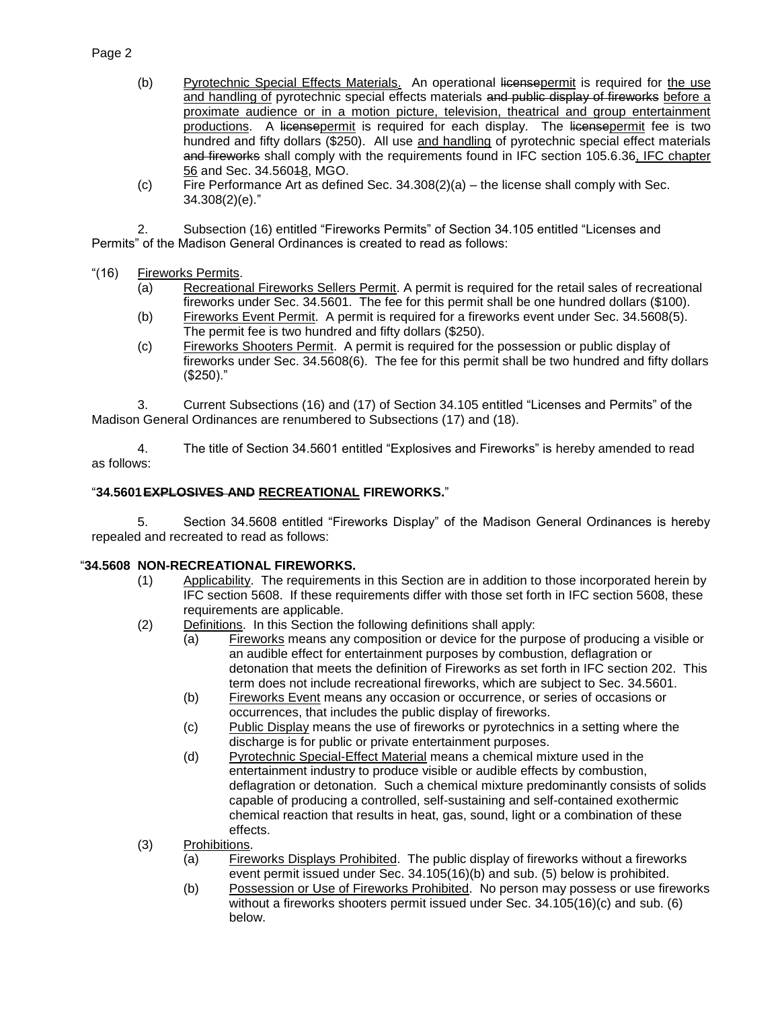# Page 2

- (b) Pyrotechnic Special Effects Materials. An operational licensepermit is required for the use and handling of pyrotechnic special effects materials and public display of fireworks before a proximate audience or in a motion picture, television, theatrical and group entertainment productions. A licensepermit is required for each display. The licensepermit fee is two hundred and fifty dollars (\$250). All use and handling of pyrotechnic special effect materials and fireworks shall comply with the requirements found in IFC section 105.6.36, IFC chapter 56 and Sec. 34.56018, MGO.
- (c) Fire Performance Art as defined Sec. 34.308(2)(a) the license shall comply with Sec. 34.308(2)(e)."

2. Subsection (16) entitled "Fireworks Permits" of Section 34.105 entitled "Licenses and Permits" of the Madison General Ordinances is created to read as follows:

- "(16) Fireworks Permits.
	- (a) Recreational Fireworks Sellers Permit. A permit is required for the retail sales of recreational fireworks under Sec. 34.5601. The fee for this permit shall be one hundred dollars (\$100).
	- (b) Fireworks Event Permit. A permit is required for a fireworks event under Sec. 34.5608(5). The permit fee is two hundred and fifty dollars (\$250).
	- (c) Fireworks Shooters Permit. A permit is required for the possession or public display of fireworks under Sec. 34.5608(6). The fee for this permit shall be two hundred and fifty dollars (\$250)."

3. Current Subsections (16) and (17) of Section 34.105 entitled "Licenses and Permits" of the Madison General Ordinances are renumbered to Subsections (17) and (18).

4. The title of Section 34.5601 entitled "Explosives and Fireworks" is hereby amended to read as follows:

## "**34.5601EXPLOSIVES AND RECREATIONAL FIREWORKS.**"

5. Section 34.5608 entitled "Fireworks Display" of the Madison General Ordinances is hereby repealed and recreated to read as follows:

#### "**34.5608 NON-RECREATIONAL FIREWORKS.**

- (1) Applicability. The requirements in this Section are in addition to those incorporated herein by IFC section 5608. If these requirements differ with those set forth in IFC section 5608, these requirements are applicable.
- (2) Definitions. In this Section the following definitions shall apply:
	- (a) Fireworks means any composition or device for the purpose of producing a visible or an audible effect for entertainment purposes by combustion, deflagration or detonation that meets the definition of Fireworks as set forth in IFC section 202. This term does not include recreational fireworks, which are subject to Sec. 34.5601.
	- (b) Fireworks Event means any occasion or occurrence, or series of occasions or occurrences, that includes the public display of fireworks.
	- (c) Public Display means the use of fireworks or pyrotechnics in a setting where the discharge is for public or private entertainment purposes.
	- (d) Pyrotechnic Special-Effect Material means a chemical mixture used in the entertainment industry to produce visible or audible effects by combustion, deflagration or detonation. Such a chemical mixture predominantly consists of solids capable of producing a controlled, self-sustaining and self-contained exothermic chemical reaction that results in heat, gas, sound, light or a combination of these effects.
- (3) Prohibitions.
	- (a) Fireworks Displays Prohibited. The public display of fireworks without a fireworks event permit issued under Sec. 34.105(16)(b) and sub. (5) below is prohibited.
	- (b) Possession or Use of Fireworks Prohibited. No person may possess or use fireworks without a fireworks shooters permit issued under Sec. 34.105(16)(c) and sub. (6) below.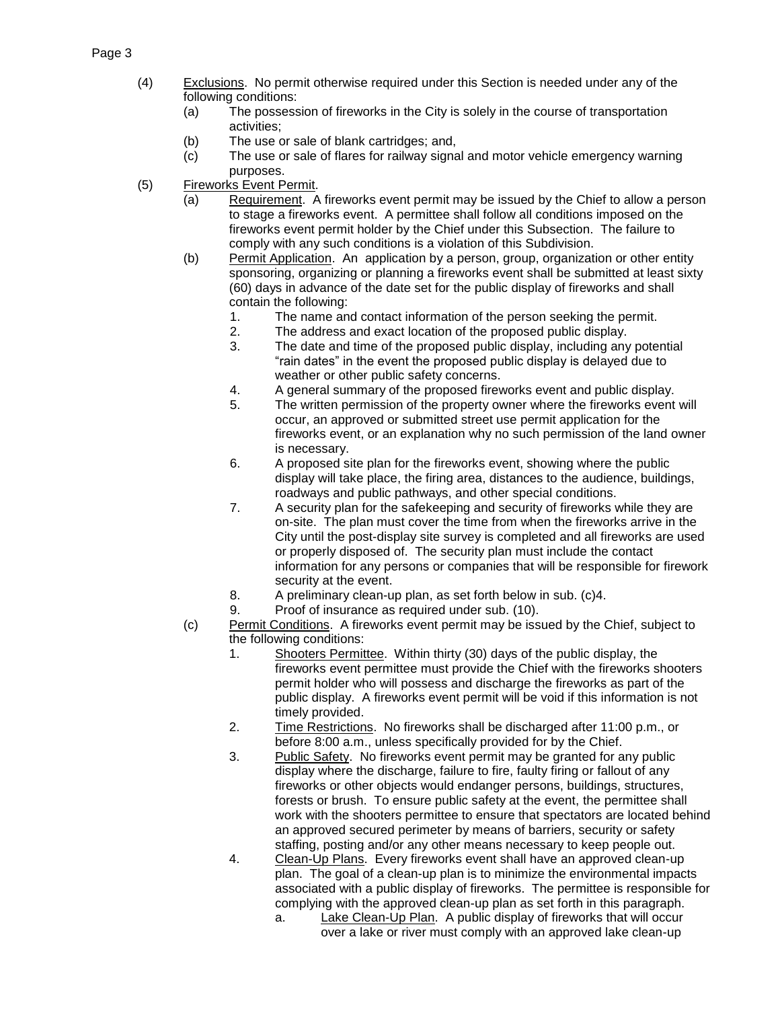### Page 3

- (4) Exclusions. No permit otherwise required under this Section is needed under any of the following conditions:
	- (a) The possession of fireworks in the City is solely in the course of transportation activities;
	- (b) The use or sale of blank cartridges; and,
	- (c) The use or sale of flares for railway signal and motor vehicle emergency warning purposes.
- (5) Fireworks Event Permit.
	- (a) Requirement. A fireworks event permit may be issued by the Chief to allow a person to stage a fireworks event. A permittee shall follow all conditions imposed on the fireworks event permit holder by the Chief under this Subsection. The failure to comply with any such conditions is a violation of this Subdivision.
	- (b) Permit Application. An application by a person, group, organization or other entity sponsoring, organizing or planning a fireworks event shall be submitted at least sixty (60) days in advance of the date set for the public display of fireworks and shall contain the following:
		- 1. The name and contact information of the person seeking the permit.
		- 2. The address and exact location of the proposed public display.
		- 3. The date and time of the proposed public display, including any potential "rain dates" in the event the proposed public display is delayed due to weather or other public safety concerns.
		- 4. A general summary of the proposed fireworks event and public display.
		- 5. The written permission of the property owner where the fireworks event will occur, an approved or submitted street use permit application for the fireworks event, or an explanation why no such permission of the land owner is necessary.
		- 6. A proposed site plan for the fireworks event, showing where the public display will take place, the firing area, distances to the audience, buildings, roadways and public pathways, and other special conditions.
		- 7. A security plan for the safekeeping and security of fireworks while they are on-site. The plan must cover the time from when the fireworks arrive in the City until the post-display site survey is completed and all fireworks are used or properly disposed of. The security plan must include the contact information for any persons or companies that will be responsible for firework security at the event.
		- 8. A preliminary clean-up plan, as set forth below in sub. (c)4.
		- 9. Proof of insurance as required under sub. (10).
	- (c) Permit Conditions. A fireworks event permit may be issued by the Chief, subject to the following conditions:
		- 1. Shooters Permittee. Within thirty (30) days of the public display, the fireworks event permittee must provide the Chief with the fireworks shooters permit holder who will possess and discharge the fireworks as part of the public display. A fireworks event permit will be void if this information is not timely provided.
		- 2. Time Restrictions. No fireworks shall be discharged after 11:00 p.m., or before 8:00 a.m., unless specifically provided for by the Chief.
		- 3. Public Safety. No fireworks event permit may be granted for any public display where the discharge, failure to fire, faulty firing or fallout of any fireworks or other objects would endanger persons, buildings, structures, forests or brush. To ensure public safety at the event, the permittee shall work with the shooters permittee to ensure that spectators are located behind an approved secured perimeter by means of barriers, security or safety staffing, posting and/or any other means necessary to keep people out.
		- 4. Clean-Up Plans. Every fireworks event shall have an approved clean-up plan. The goal of a clean-up plan is to minimize the environmental impacts associated with a public display of fireworks. The permittee is responsible for complying with the approved clean-up plan as set forth in this paragraph.
			- a. Lake Clean-Up Plan. A public display of fireworks that will occur over a lake or river must comply with an approved lake clean-up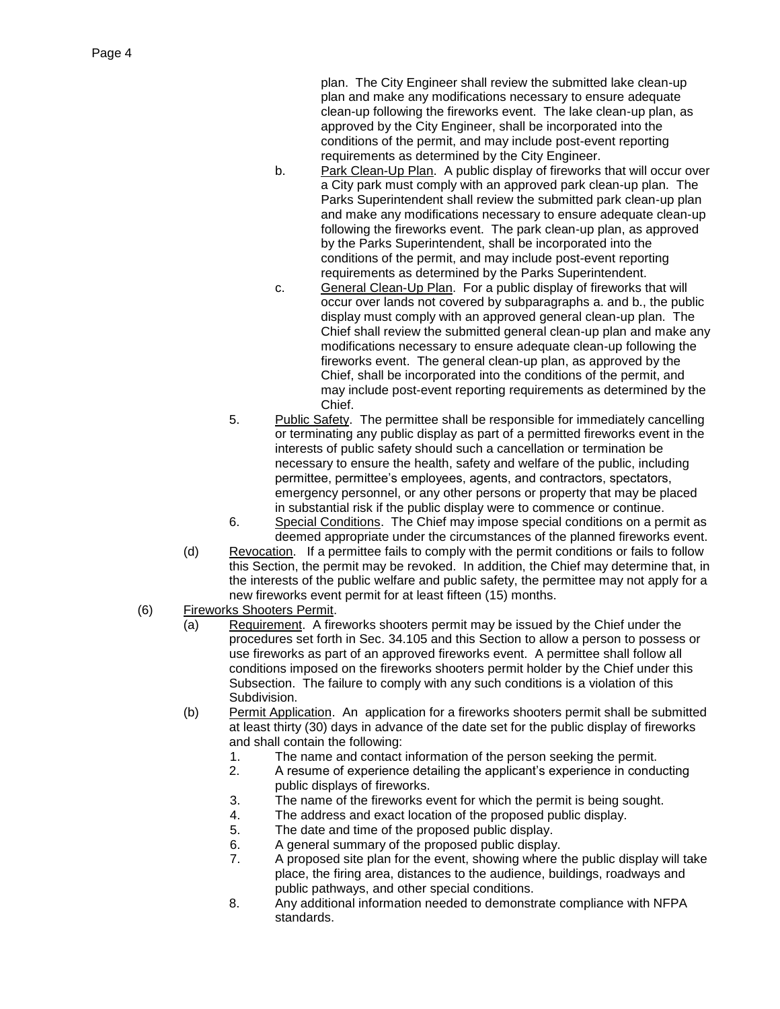plan. The City Engineer shall review the submitted lake clean-up plan and make any modifications necessary to ensure adequate clean-up following the fireworks event. The lake clean-up plan, as approved by the City Engineer, shall be incorporated into the conditions of the permit, and may include post-event reporting requirements as determined by the City Engineer.

- b. Park Clean-Up Plan. A public display of fireworks that will occur over a City park must comply with an approved park clean-up plan. The Parks Superintendent shall review the submitted park clean-up plan and make any modifications necessary to ensure adequate clean-up following the fireworks event. The park clean-up plan, as approved by the Parks Superintendent, shall be incorporated into the conditions of the permit, and may include post-event reporting requirements as determined by the Parks Superintendent.
- c. General Clean-Up Plan. For a public display of fireworks that will occur over lands not covered by subparagraphs a. and b., the public display must comply with an approved general clean-up plan. The Chief shall review the submitted general clean-up plan and make any modifications necessary to ensure adequate clean-up following the fireworks event. The general clean-up plan, as approved by the Chief, shall be incorporated into the conditions of the permit, and may include post-event reporting requirements as determined by the **Chief**
- 5. Public Safety. The permittee shall be responsible for immediately cancelling or terminating any public display as part of a permitted fireworks event in the interests of public safety should such a cancellation or termination be necessary to ensure the health, safety and welfare of the public, including permittee, permittee's employees, agents, and contractors, spectators, emergency personnel, or any other persons or property that may be placed in substantial risk if the public display were to commence or continue.
- 6. Special Conditions. The Chief may impose special conditions on a permit as deemed appropriate under the circumstances of the planned fireworks event.
- (d) Revocation. If a permittee fails to comply with the permit conditions or fails to follow this Section, the permit may be revoked. In addition, the Chief may determine that, in the interests of the public welfare and public safety, the permittee may not apply for a new fireworks event permit for at least fifteen (15) months.
- (6) Fireworks Shooters Permit.
	- (a) Requirement. A fireworks shooters permit may be issued by the Chief under the procedures set forth in Sec. 34.105 and this Section to allow a person to possess or use fireworks as part of an approved fireworks event. A permittee shall follow all conditions imposed on the fireworks shooters permit holder by the Chief under this Subsection. The failure to comply with any such conditions is a violation of this Subdivision.
	- (b) Permit Application. An application for a fireworks shooters permit shall be submitted at least thirty (30) days in advance of the date set for the public display of fireworks and shall contain the following:
		- 1. The name and contact information of the person seeking the permit.
		- 2. A resume of experience detailing the applicant's experience in conducting public displays of fireworks.
		- 3. The name of the fireworks event for which the permit is being sought.
		- 4. The address and exact location of the proposed public display.
		- 5. The date and time of the proposed public display.
		- 6. A general summary of the proposed public display.
		- 7. A proposed site plan for the event, showing where the public display will take place, the firing area, distances to the audience, buildings, roadways and public pathways, and other special conditions.
		- 8. Any additional information needed to demonstrate compliance with NFPA standards.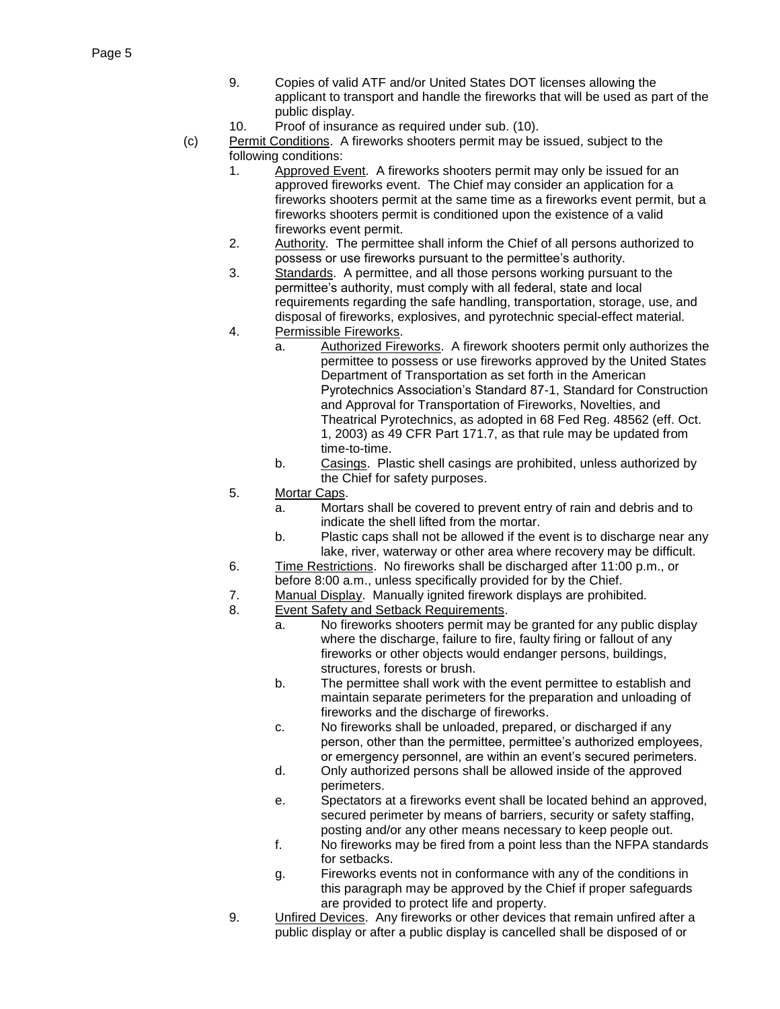- 9. Copies of valid ATF and/or United States DOT licenses allowing the applicant to transport and handle the fireworks that will be used as part of the public display.
- 10. Proof of insurance as required under sub. (10).
- (c) Permit Conditions. A fireworks shooters permit may be issued, subject to the following conditions:
	- 1. Approved Event. A fireworks shooters permit may only be issued for an approved fireworks event. The Chief may consider an application for a fireworks shooters permit at the same time as a fireworks event permit, but a fireworks shooters permit is conditioned upon the existence of a valid fireworks event permit.
	- 2. Authority. The permittee shall inform the Chief of all persons authorized to possess or use fireworks pursuant to the permittee's authority.
	- 3. Standards. A permittee, and all those persons working pursuant to the permittee's authority, must comply with all federal, state and local requirements regarding the safe handling, transportation, storage, use, and disposal of fireworks, explosives, and pyrotechnic special-effect material.
	- 4. Permissible Fireworks.
		- a. Authorized Fireworks. A firework shooters permit only authorizes the permittee to possess or use fireworks approved by the United States Department of Transportation as set forth in the American Pyrotechnics Association's Standard 87-1, Standard for Construction and Approval for Transportation of Fireworks, Novelties, and Theatrical Pyrotechnics, as adopted in 68 Fed Reg. 48562 (eff. Oct. 1, 2003) as 49 CFR Part 171.7, as that rule may be updated from time-to-time.
		- b. Casings. Plastic shell casings are prohibited, unless authorized by the Chief for safety purposes.
	- 5. Mortar Caps.
		- a. Mortars shall be covered to prevent entry of rain and debris and to indicate the shell lifted from the mortar.
		- b. Plastic caps shall not be allowed if the event is to discharge near any lake, river, waterway or other area where recovery may be difficult.
	- 6. Time Restrictions. No fireworks shall be discharged after 11:00 p.m., or before 8:00 a.m., unless specifically provided for by the Chief.
	- 7. Manual Display. Manually ignited firework displays are prohibited.
	- 8. Event Safety and Setback Requirements.
		- a. No fireworks shooters permit may be granted for any public display where the discharge, failure to fire, faulty firing or fallout of any fireworks or other objects would endanger persons, buildings, structures, forests or brush.
		- b. The permittee shall work with the event permittee to establish and maintain separate perimeters for the preparation and unloading of fireworks and the discharge of fireworks.
		- c. No fireworks shall be unloaded, prepared, or discharged if any person, other than the permittee, permittee's authorized employees, or emergency personnel, are within an event's secured perimeters.
		- d. Only authorized persons shall be allowed inside of the approved perimeters.
		- e. Spectators at a fireworks event shall be located behind an approved, secured perimeter by means of barriers, security or safety staffing, posting and/or any other means necessary to keep people out.
		- f. No fireworks may be fired from a point less than the NFPA standards for setbacks.
		- g. Fireworks events not in conformance with any of the conditions in this paragraph may be approved by the Chief if proper safeguards are provided to protect life and property.
	- 9. Unfired Devices. Any fireworks or other devices that remain unfired after a public display or after a public display is cancelled shall be disposed of or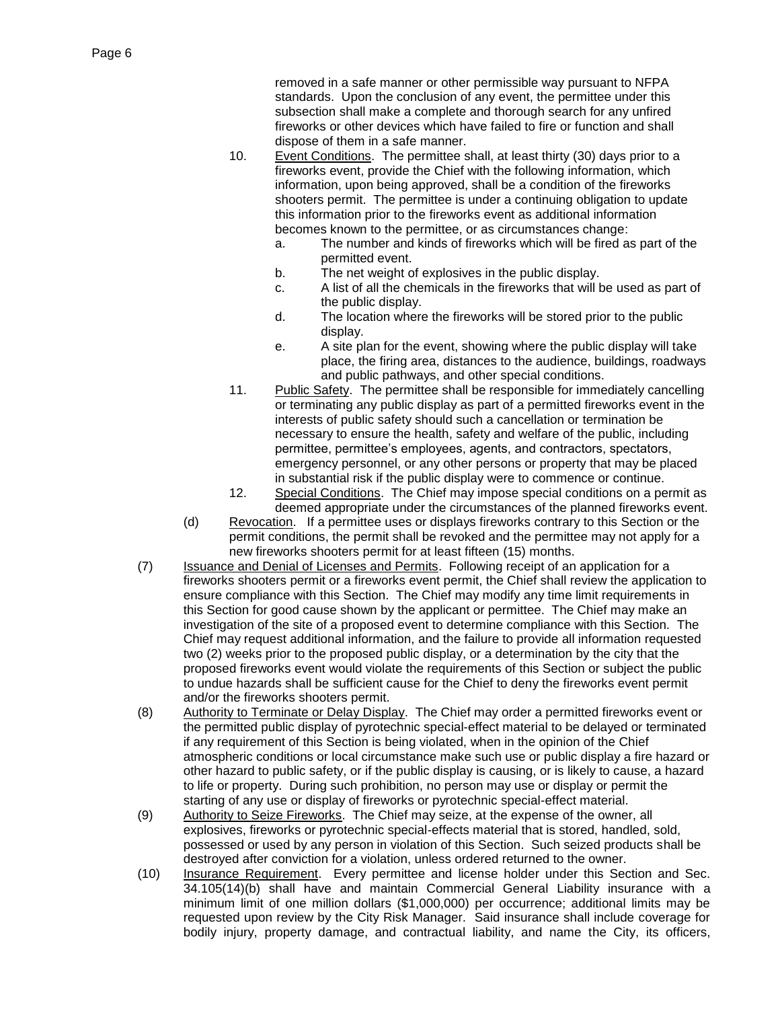removed in a safe manner or other permissible way pursuant to NFPA standards. Upon the conclusion of any event, the permittee under this subsection shall make a complete and thorough search for any unfired fireworks or other devices which have failed to fire or function and shall dispose of them in a safe manner.

- 10. Event Conditions. The permittee shall, at least thirty (30) days prior to a fireworks event, provide the Chief with the following information, which information, upon being approved, shall be a condition of the fireworks shooters permit. The permittee is under a continuing obligation to update this information prior to the fireworks event as additional information becomes known to the permittee, or as circumstances change:
	- a. The number and kinds of fireworks which will be fired as part of the permitted event.
	- b. The net weight of explosives in the public display.
	- c. A list of all the chemicals in the fireworks that will be used as part of the public display.
	- d. The location where the fireworks will be stored prior to the public display.
	- e. A site plan for the event, showing where the public display will take place, the firing area, distances to the audience, buildings, roadways and public pathways, and other special conditions.
- 11. Public Safety. The permittee shall be responsible for immediately cancelling or terminating any public display as part of a permitted fireworks event in the interests of public safety should such a cancellation or termination be necessary to ensure the health, safety and welfare of the public, including permittee, permittee's employees, agents, and contractors, spectators, emergency personnel, or any other persons or property that may be placed in substantial risk if the public display were to commence or continue.
- 12. Special Conditions. The Chief may impose special conditions on a permit as deemed appropriate under the circumstances of the planned fireworks event.
- (d) Revocation. If a permittee uses or displays fireworks contrary to this Section or the permit conditions, the permit shall be revoked and the permittee may not apply for a new fireworks shooters permit for at least fifteen (15) months.
- (7) Issuance and Denial of Licenses and Permits. Following receipt of an application for a fireworks shooters permit or a fireworks event permit, the Chief shall review the application to ensure compliance with this Section. The Chief may modify any time limit requirements in this Section for good cause shown by the applicant or permittee. The Chief may make an investigation of the site of a proposed event to determine compliance with this Section. The Chief may request additional information, and the failure to provide all information requested two (2) weeks prior to the proposed public display, or a determination by the city that the proposed fireworks event would violate the requirements of this Section or subject the public to undue hazards shall be sufficient cause for the Chief to deny the fireworks event permit and/or the fireworks shooters permit.
- (8) Authority to Terminate or Delay Display. The Chief may order a permitted fireworks event or the permitted public display of pyrotechnic special-effect material to be delayed or terminated if any requirement of this Section is being violated, when in the opinion of the Chief atmospheric conditions or local circumstance make such use or public display a fire hazard or other hazard to public safety, or if the public display is causing, or is likely to cause, a hazard to life or property. During such prohibition, no person may use or display or permit the starting of any use or display of fireworks or pyrotechnic special-effect material.
- (9) Authority to Seize Fireworks. The Chief may seize, at the expense of the owner, all explosives, fireworks or pyrotechnic special-effects material that is stored, handled, sold, possessed or used by any person in violation of this Section. Such seized products shall be destroyed after conviction for a violation, unless ordered returned to the owner.
- (10) Insurance Requirement. Every permittee and license holder under this Section and Sec. 34.105(14)(b) shall have and maintain Commercial General Liability insurance with a minimum limit of one million dollars (\$1,000,000) per occurrence; additional limits may be requested upon review by the City Risk Manager. Said insurance shall include coverage for bodily injury, property damage, and contractual liability, and name the City, its officers,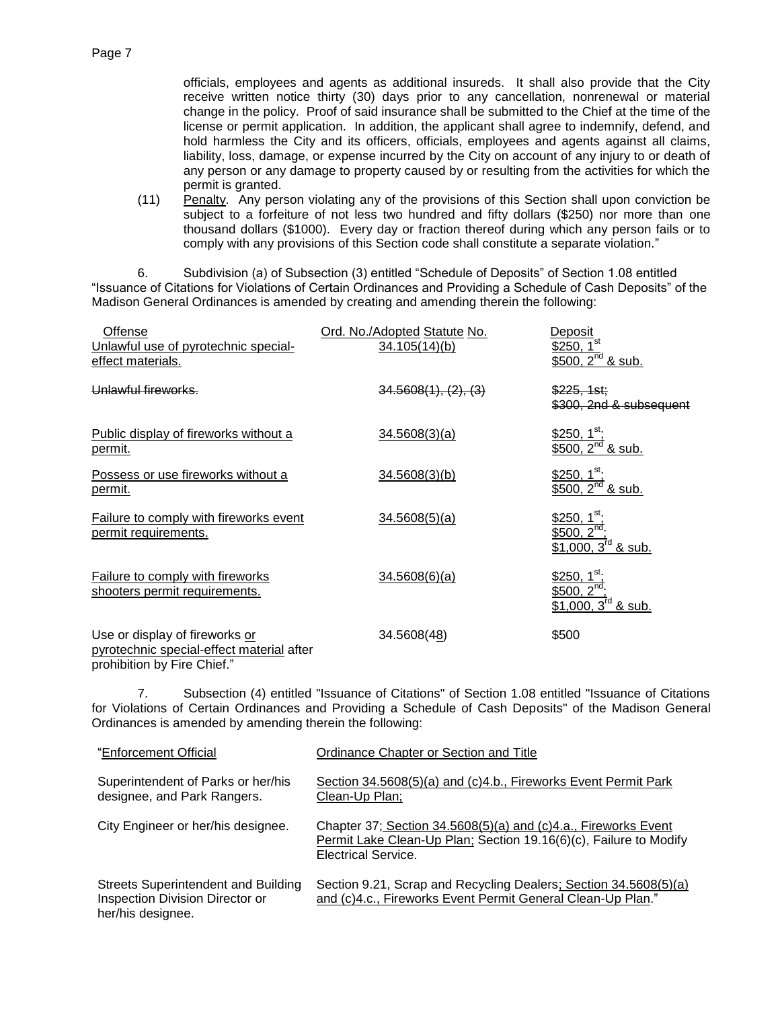officials, employees and agents as additional insureds. It shall also provide that the City receive written notice thirty (30) days prior to any cancellation, nonrenewal or material change in the policy. Proof of said insurance shall be submitted to the Chief at the time of the license or permit application. In addition, the applicant shall agree to indemnify, defend, and hold harmless the City and its officers, officials, employees and agents against all claims, liability, loss, damage, or expense incurred by the City on account of any injury to or death of any person or any damage to property caused by or resulting from the activities for which the permit is granted.

(11) Penalty. Any person violating any of the provisions of this Section shall upon conviction be subject to a forfeiture of not less two hundred and fifty dollars (\$250) nor more than one thousand dollars (\$1000). Every day or fraction thereof during which any person fails or to comply with any provisions of this Section code shall constitute a separate violation."

6. Subdivision (a) of Subsection (3) entitled "Schedule of Deposits" of Section 1.08 entitled "Issuance of Citations for Violations of Certain Ordinances and Providing a Schedule of Cash Deposits" of the Madison General Ordinances is amended by creating and amending therein the following:

| Offense                                                                                                    | Ord. No./Adopted Statute No. | Deposit                                                                          |
|------------------------------------------------------------------------------------------------------------|------------------------------|----------------------------------------------------------------------------------|
| Unlawful use of pyrotechnic special-<br>effect materials.                                                  | 34.105(14)(b)                | \$250, $1^{\text{st}}$<br>$$500, 2nd$ & sub.                                     |
| Unlawful fireworks.                                                                                        | 34.5608(1), (2), (3)         | \$225.1st:<br>\$300, 2nd & subsequent                                            |
| Public display of fireworks without a<br>permit.                                                           | 34.5608(3)(a)                | \$250, 1 <sup>st</sup><br>$2^{nd}$ & sub.<br>\$500,                              |
| Possess or use fireworks without a<br><u>permit.</u>                                                       | 34.5608(3)(b)                | \$250, 1 <sup>st</sup><br>\$500, $2^{nd}$ & sub.                                 |
| Failure to comply with fireworks event<br>permit requirements.                                             | 34.5608(5)(a)                | \$250, 1 <sup>st</sup> ;<br>\$500, $2^{nd}$ ;<br>$$1,000, 3^{\text{rd}}$ & sub.  |
| Failure to comply with fireworks<br>shooters permit requirements.                                          | 34.5608(6)(a)                | $$250, 1st$ ;<br>\$500, $2^{\overline{nd}}$ :<br>\$1,000, $3^{\text{rd}}$ & sub. |
| Use or display of fireworks or<br>pyrotechnic special-effect material after<br>prohibition by Fire Chief." | 34.5608(48)                  | \$500                                                                            |

7. Subsection (4) entitled "Issuance of Citations" of Section 1.08 entitled "Issuance of Citations for Violations of Certain Ordinances and Providing a Schedule of Cash Deposits" of the Madison General Ordinances is amended by amending therein the following:

| "Enforcement Official                                                                              | Ordinance Chapter or Section and Title                                                                                                                     |
|----------------------------------------------------------------------------------------------------|------------------------------------------------------------------------------------------------------------------------------------------------------------|
| Superintendent of Parks or her/his<br>designee, and Park Rangers.                                  | Section 34.5608(5)(a) and (c)4.b., Fireworks Event Permit Park<br>Clean-Up Plan;                                                                           |
| City Engineer or her/his designee.                                                                 | Chapter 37; Section 34.5608(5)(a) and (c)4.a., Fireworks Event<br>Permit Lake Clean-Up Plan; Section 19.16(6)(c), Failure to Modify<br>Electrical Service. |
| <b>Streets Superintendent and Building</b><br>Inspection Division Director or<br>her/his designee. | Section 9.21, Scrap and Recycling Dealers; Section 34.5608(5)(a)<br>and (c)4.c., Fireworks Event Permit General Clean-Up Plan."                            |